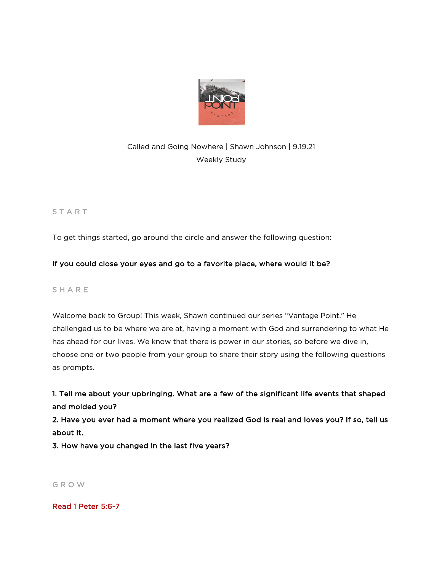

# Called and Going Nowhere | Shawn Johnson | 9.19.21 Weekly Study

# **START**

To get things started, go around the circle and answer the following question:

# If you could close your eyes and go to a favorite place, where would it be?

## **SHARE**

Welcome back to Group! This week, Shawn continued our series "Vantage Point." He challenged us to be where we are at, having a moment with God and surrendering to what He has ahead for our lives. We know that there is power in our stories, so before we dive in, choose one or two people from your group to share their story using the following questions as prompts.

# 1. Tell me about your upbringing. What are a few of the significant life events that shaped and molded you?

2. Have you ever had a moment where you realized God is real and loves you? If so, tell us about it.

3. How have you changed in the last five years?

G R O W

Read 1 Peter 5:6-7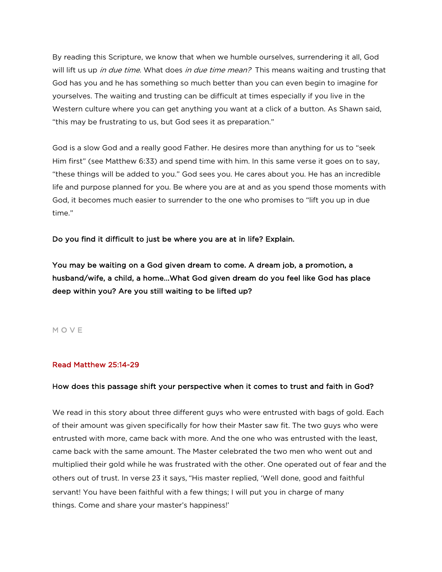By reading this Scripture, we know that when we humble ourselves, surrendering it all, God will lift us up in due time. What does in due time mean? This means waiting and trusting that God has you and he has something so much better than you can even begin to imagine for yourselves. The waiting and trusting can be difficult at times especially if you live in the Western culture where you can get anything you want at a click of a button. As Shawn said, "this may be frustrating to us, but God sees it as preparation."

God is a slow God and a really good Father. He desires more than anything for us to "seek Him first" (see Matthew 6:33) and spend time with him. In this same verse it goes on to say, "these things will be added to you." God sees you. He cares about you. He has an incredible life and purpose planned for you. Be where you are at and as you spend those moments with God, it becomes much easier to surrender to the one who promises to "lift you up in due time."

Do you find it difficult to just be where you are at in life? Explain.

You may be waiting on a God given dream to come. A dream job, a promotion, a husband/wife, a child, a home...What God given dream do you feel like God has place deep within you? Are you still waiting to be lifted up?

### M O V E

### Read Matthew 25:14-29

#### How does this passage shift your perspective when it comes to trust and faith in God?

We read in this story about three different guys who were entrusted with bags of gold. Each of their amount was given specifically for how their Master saw fit. The two guys who were entrusted with more, came back with more. And the one who was entrusted with the least, came back with the same amount. The Master celebrated the two men who went out and multiplied their gold while he was frustrated with the other. One operated out of fear and the others out of trust. In verse 23 it says, "His master replied, 'Well done, good and faithful servant! You have been faithful with a few things; I will put you in charge of many things. Come and share your master's happiness!'